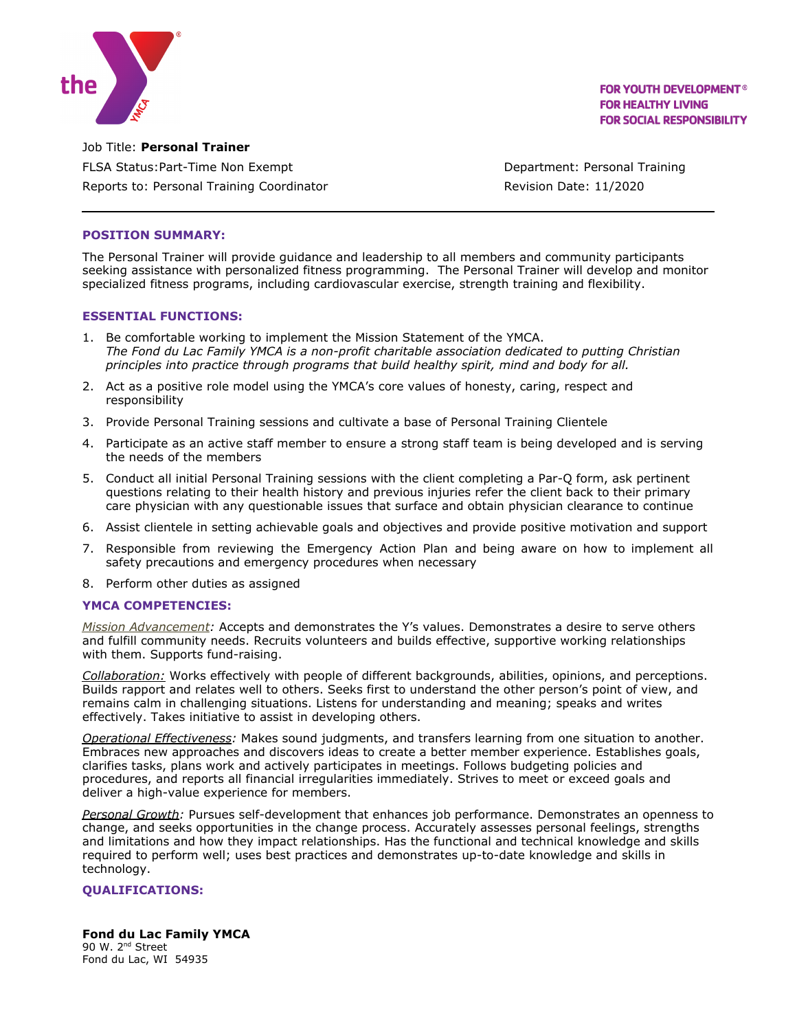

**FOR YOUTH DEVELOPMENT<sup>®</sup> FOR HEALTHY LIVING FOR SOCIAL RESPONSIBILITY** 

Job Title: **Personal Trainer** FLSA Status: Part-Time Non Exempt **Department: Personal Training** Reports to: Personal Training Coordinator **Revision Date: 11/2020** 

### **POSITION SUMMARY:**

The Personal Trainer will provide guidance and leadership to all members and community participants seeking assistance with personalized fitness programming. The Personal Trainer will develop and monitor specialized fitness programs, including cardiovascular exercise, strength training and flexibility.

#### **ESSENTIAL FUNCTIONS:**

- 1. Be comfortable working to implement the Mission Statement of the YMCA. *The Fond du Lac Family YMCA is a non-profit charitable association dedicated to putting Christian principles into practice through programs that build healthy spirit, mind and body for all.*
- 2. Act as a positive role model using the YMCA's core values of honesty, caring, respect and responsibility
- 3. Provide Personal Training sessions and cultivate a base of Personal Training Clientele
- 4. Participate as an active staff member to ensure a strong staff team is being developed and is serving the needs of the members
- 5. Conduct all initial Personal Training sessions with the client completing a Par-Q form, ask pertinent questions relating to their health history and previous injuries refer the client back to their primary care physician with any questionable issues that surface and obtain physician clearance to continue
- 6. Assist clientele in setting achievable goals and objectives and provide positive motivation and support
- 7. Responsible from reviewing the Emergency Action Plan and being aware on how to implement all safety precautions and emergency procedures when necessary
- 8. Perform other duties as assigned

## **YMCA COMPETENCIES:**

*Mission Advancement:* Accepts and demonstrates the Y's values. Demonstrates a desire to serve others and fulfill community needs. Recruits volunteers and builds effective, supportive working relationships with them. Supports fund-raising.

*Collaboration:* Works effectively with people of different backgrounds, abilities, opinions, and perceptions. Builds rapport and relates well to others. Seeks first to understand the other person's point of view, and remains calm in challenging situations. Listens for understanding and meaning; speaks and writes effectively. Takes initiative to assist in developing others.

*Operational Effectiveness:* Makes sound judgments, and transfers learning from one situation to another. Embraces new approaches and discovers ideas to create a better member experience. Establishes goals, clarifies tasks, plans work and actively participates in meetings. Follows budgeting policies and procedures, and reports all financial irregularities immediately. Strives to meet or exceed goals and deliver a high-value experience for members.

*Personal Growth:* Pursues self-development that enhances job performance. Demonstrates an openness to change, and seeks opportunities in the change process. Accurately assesses personal feelings, strengths and limitations and how they impact relationships. Has the functional and technical knowledge and skills required to perform well; uses best practices and demonstrates up-to-date knowledge and skills in technology.

## **QUALIFICATIONS:**